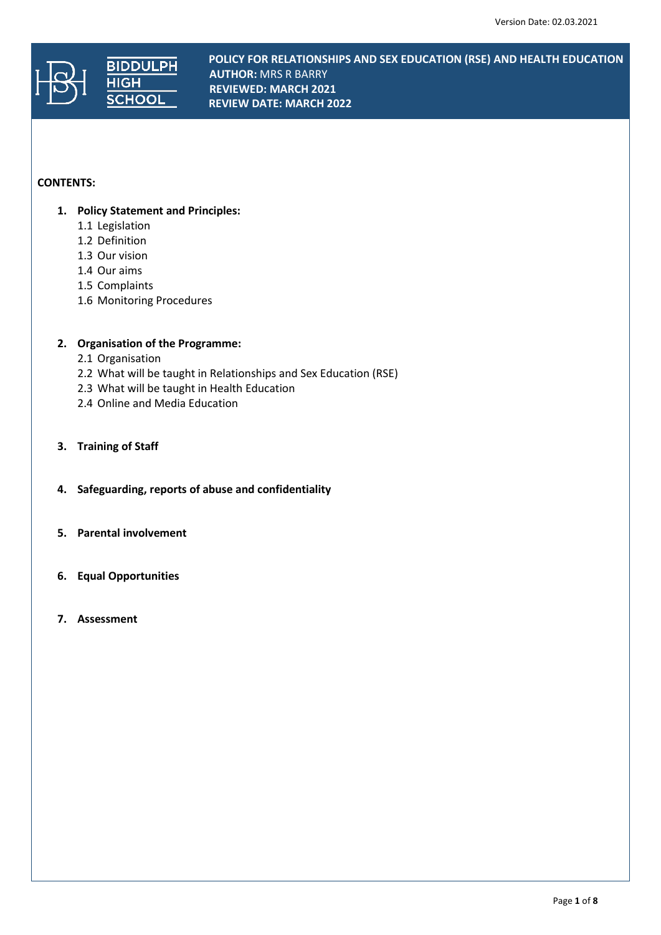

**POLICY FOR RELATIONSHIPS AND SEX EDUCATION (RSE) AND HEALTH EDUCATION BIDDULPH** PULICY FOR RECATIONS<br>
MUTHOR: MRS R BARRY **REVIEWED: MARCH 2021 REVIEW DATE: MARCH 2022**

# **CONTENTS:**

- **1. Policy Statement and Principles:** 
	- 1.1 Legislation
	- 1.2 Definition
	- 1.3 Our vision
	- 1.4 Our aims
	- 1.5 Complaints
	- 1.6 Monitoring Procedures

# **2. Organisation of the Programme:**

- 2.1 Organisation
- 2.2 What will be taught in Relationships and Sex Education (RSE)
- 2.3 What will be taught in Health Education
- 2.4 Online and Media Education
- **3. Training of Staff**
- **4. Safeguarding, reports of abuse and confidentiality**
- **5. Parental involvement**
- **6. Equal Opportunities**
- **7. Assessment**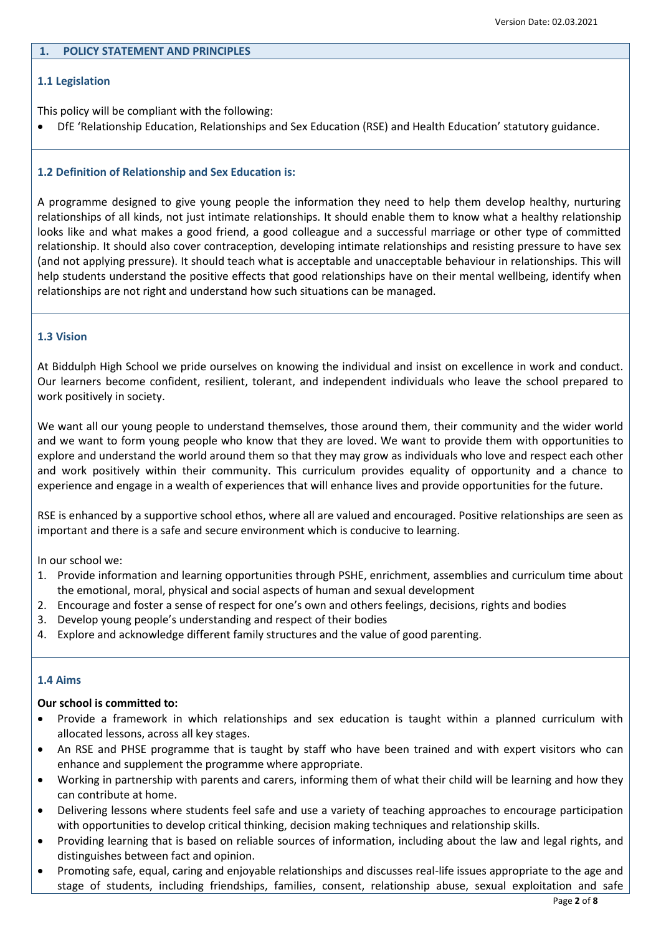### **1. POLICY STATEMENT AND PRINCIPLES**

### **1.1 Legislation**

This policy will be compliant with the following:

DfE 'Relationship Education, Relationships and Sex Education (RSE) and Health Education' statutory guidance.

# **1.2 Definition of Relationship and Sex Education is:**

A programme designed to give young people the information they need to help them develop healthy, nurturing relationships of all kinds, not just intimate relationships. It should enable them to know what a healthy relationship looks like and what makes a good friend, a good colleague and a successful marriage or other type of committed relationship. It should also cover contraception, developing intimate relationships and resisting pressure to have sex (and not applying pressure). It should teach what is acceptable and unacceptable behaviour in relationships. This will help students understand the positive effects that good relationships have on their mental wellbeing, identify when relationships are not right and understand how such situations can be managed.

### **1.3 Vision**

At Biddulph High School we pride ourselves on knowing the individual and insist on excellence in work and conduct. Our learners become confident, resilient, tolerant, and independent individuals who leave the school prepared to work positively in society.

We want all our young people to understand themselves, those around them, their community and the wider world and we want to form young people who know that they are loved. We want to provide them with opportunities to explore and understand the world around them so that they may grow as individuals who love and respect each other and work positively within their community. This curriculum provides equality of opportunity and a chance to experience and engage in a wealth of experiences that will enhance lives and provide opportunities for the future.

RSE is enhanced by a supportive school ethos, where all are valued and encouraged. Positive relationships are seen as important and there is a safe and secure environment which is conducive to learning.

In our school we:

- 1. Provide information and learning opportunities through PSHE, enrichment, assemblies and curriculum time about the emotional, moral, physical and social aspects of human and sexual development
- 2. Encourage and foster a sense of respect for one's own and others feelings, decisions, rights and bodies
- 3. Develop young people's understanding and respect of their bodies
- 4. Explore and acknowledge different family structures and the value of good parenting.

#### **1.4 Aims**

### **Our school is committed to:**

- Provide a framework in which relationships and sex education is taught within a planned curriculum with allocated lessons, across all key stages.
- An RSE and PHSE programme that is taught by staff who have been trained and with expert visitors who can enhance and supplement the programme where appropriate.
- Working in partnership with parents and carers, informing them of what their child will be learning and how they can contribute at home.
- Delivering lessons where students feel safe and use a variety of teaching approaches to encourage participation with opportunities to develop critical thinking, decision making techniques and relationship skills.
- Providing learning that is based on reliable sources of information, including about the law and legal rights, and distinguishes between fact and opinion.
- Promoting safe, equal, caring and enjoyable relationships and discusses real-life issues appropriate to the age and stage of students, including friendships, families, consent, relationship abuse, sexual exploitation and safe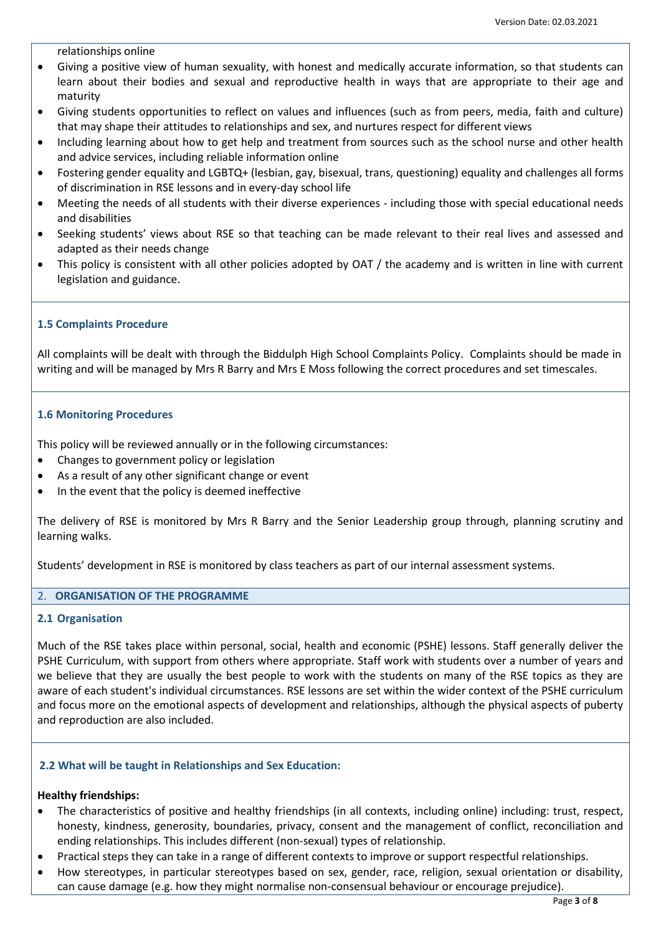relationships online

- Giving a positive view of human sexuality, with honest and medically accurate information, so that students can learn about their bodies and sexual and reproductive health in ways that are appropriate to their age and maturity
- Giving students opportunities to reflect on values and influences (such as from peers, media, faith and culture) that may shape their attitudes to relationships and sex, and nurtures respect for different views
- Including learning about how to get help and treatment from sources such as the school nurse and other health and advice services, including reliable information online
- Fostering gender equality and LGBTQ+ (lesbian, gay, bisexual, trans, questioning) equality and challenges all forms of discrimination in RSE lessons and in every-day school life
- Meeting the needs of all students with their diverse experiences including those with special educational needs and disabilities
- Seeking students' views about RSE so that teaching can be made relevant to their real lives and assessed and adapted as their needs change
- This policy is consistent with all other policies adopted by OAT / the academy and is written in line with current legislation and guidance.

#### **1.5 Complaints Procedure**

All complaints will be dealt with through the Biddulph High School Complaints Policy. Complaints should be made in writing and will be managed by Mrs R Barry and Mrs E Moss following the correct procedures and set timescales.

#### **1.6 Monitoring Procedures**

This policy will be reviewed annually or in the following circumstances:

- Changes to government policy or legislation
- As a result of any other significant change or event
- In the event that the policy is deemed ineffective

The delivery of RSE is monitored by Mrs R Barry and the Senior Leadership group through, planning scrutiny and learning walks.

Students' development in RSE is monitored by class teachers as part of our internal assessment systems.

#### 2. **ORGANISATION OF THE PROGRAMME**

#### **2.1 Organisation**

Much of the RSE takes place within personal, social, health and economic (PSHE) lessons. Staff generally deliver the PSHE Curriculum, with support from others where appropriate. Staff work with students over a number of years and we believe that they are usually the best people to work with the students on many of the RSE topics as they are aware of each student's individual circumstances. RSE lessons are set within the wider context of the PSHE curriculum and focus more on the emotional aspects of development and relationships, although the physical aspects of puberty and reproduction are also included.

#### **2.2 What will be taught in Relationships and Sex Education:**

### **Healthy friendships:**

- The characteristics of positive and healthy friendships (in all contexts, including online) including: trust, respect, honesty, kindness, generosity, boundaries, privacy, consent and the management of conflict, reconciliation and ending relationships. This includes different (non-sexual) types of relationship.
- Practical steps they can take in a range of different contexts to improve or support respectful relationships.
- How stereotypes, in particular stereotypes based on sex, gender, race, religion, sexual orientation or disability, can cause damage (e.g. how they might normalise non-consensual behaviour or encourage prejudice).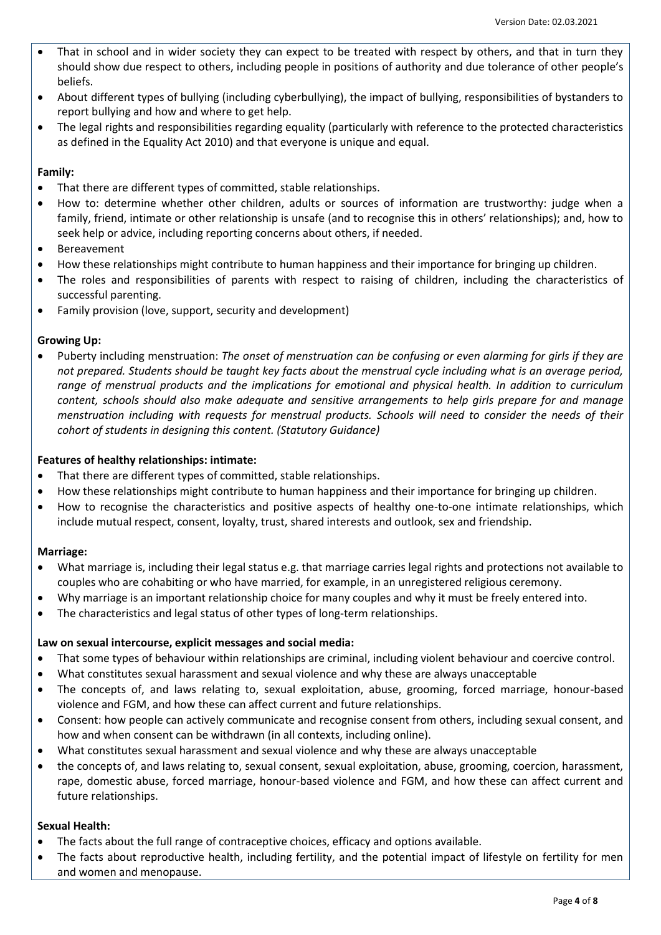- That in school and in wider society they can expect to be treated with respect by others, and that in turn they should show due respect to others, including people in positions of authority and due tolerance of other people's beliefs.
- About different types of bullying (including cyberbullying), the impact of bullying, responsibilities of bystanders to report bullying and how and where to get help.
- The legal rights and responsibilities regarding equality (particularly with reference to the protected characteristics as defined in the Equality Act 2010) and that everyone is unique and equal.

### **Family:**

- That there are different types of committed, stable relationships.
- How to: determine whether other children, adults or sources of information are trustworthy: judge when a family, friend, intimate or other relationship is unsafe (and to recognise this in others' relationships); and, how to seek help or advice, including reporting concerns about others, if needed.
- Bereavement
- How these relationships might contribute to human happiness and their importance for bringing up children.
- The roles and responsibilities of parents with respect to raising of children, including the characteristics of successful parenting.
- Family provision (love, support, security and development)

# **Growing Up:**

 Puberty including menstruation: *The onset of menstruation can be confusing or even alarming for girls if they are not prepared. Students should be taught key facts about the menstrual cycle including what is an average period, range of menstrual products and the implications for emotional and physical health. In addition to curriculum content, schools should also make adequate and sensitive arrangements to help girls prepare for and manage menstruation including with requests for menstrual products. Schools will need to consider the needs of their cohort of students in designing this content. (Statutory Guidance)*

# **Features of healthy relationships: intimate:**

- That there are different types of committed, stable relationships.
- How these relationships might contribute to human happiness and their importance for bringing up children.
- How to recognise the characteristics and positive aspects of healthy one-to-one intimate relationships, which include mutual respect, consent, loyalty, trust, shared interests and outlook, sex and friendship.

# **Marriage:**

- What marriage is, including their legal status e.g. that marriage carries legal rights and protections not available to couples who are cohabiting or who have married, for example, in an unregistered religious ceremony.
- Why marriage is an important relationship choice for many couples and why it must be freely entered into.
- The characteristics and legal status of other types of long-term relationships.

# **Law on sexual intercourse, explicit messages and social media:**

- That some types of behaviour within relationships are criminal, including violent behaviour and coercive control.
- What constitutes sexual harassment and sexual violence and why these are always unacceptable
- The concepts of, and laws relating to, sexual exploitation, abuse, grooming, forced marriage, honour-based violence and FGM, and how these can affect current and future relationships.
- Consent: how people can actively communicate and recognise consent from others, including sexual consent, and how and when consent can be withdrawn (in all contexts, including online).
- What constitutes sexual harassment and sexual violence and why these are always unacceptable
- the concepts of, and laws relating to, sexual consent, sexual exploitation, abuse, grooming, coercion, harassment, rape, domestic abuse, forced marriage, honour-based violence and FGM, and how these can affect current and future relationships.

# **Sexual Health:**

- The facts about the full range of contraceptive choices, efficacy and options available.
- The facts about reproductive health, including fertility, and the potential impact of lifestyle on fertility for men and women and menopause.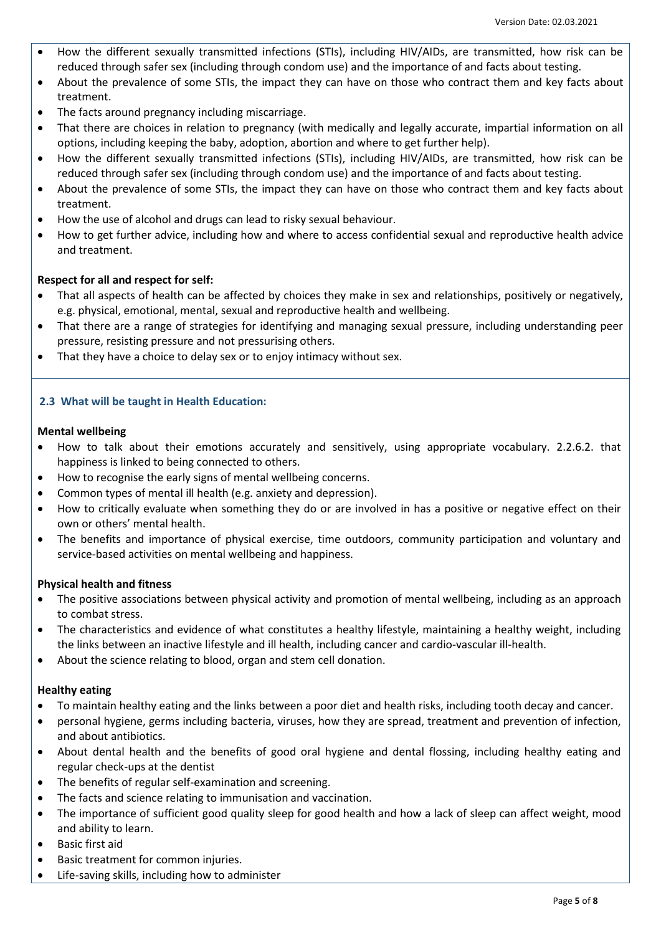- How the different sexually transmitted infections (STIs), including HIV/AIDs, are transmitted, how risk can be reduced through safer sex (including through condom use) and the importance of and facts about testing.
- About the prevalence of some STIs, the impact they can have on those who contract them and key facts about treatment.
- The facts around pregnancy including miscarriage.
- That there are choices in relation to pregnancy (with medically and legally accurate, impartial information on all options, including keeping the baby, adoption, abortion and where to get further help).
- How the different sexually transmitted infections (STIs), including HIV/AIDs, are transmitted, how risk can be reduced through safer sex (including through condom use) and the importance of and facts about testing.
- About the prevalence of some STIs, the impact they can have on those who contract them and key facts about treatment.
- How the use of alcohol and drugs can lead to risky sexual behaviour.
- How to get further advice, including how and where to access confidential sexual and reproductive health advice and treatment.

# **Respect for all and respect for self:**

- That all aspects of health can be affected by choices they make in sex and relationships, positively or negatively, e.g. physical, emotional, mental, sexual and reproductive health and wellbeing.
- That there are a range of strategies for identifying and managing sexual pressure, including understanding peer pressure, resisting pressure and not pressurising others.
- That they have a choice to delay sex or to enjoy intimacy without sex.

# **2.3 What will be taught in Health Education:**

### **Mental wellbeing**

- How to talk about their emotions accurately and sensitively, using appropriate vocabulary. 2.2.6.2. that happiness is linked to being connected to others.
- How to recognise the early signs of mental wellbeing concerns.
- Common types of mental ill health (e.g. anxiety and depression).
- How to critically evaluate when something they do or are involved in has a positive or negative effect on their own or others' mental health.
- The benefits and importance of physical exercise, time outdoors, community participation and voluntary and service-based activities on mental wellbeing and happiness.

#### **Physical health and fitness**

- The positive associations between physical activity and promotion of mental wellbeing, including as an approach to combat stress.
- The characteristics and evidence of what constitutes a healthy lifestyle, maintaining a healthy weight, including the links between an inactive lifestyle and ill health, including cancer and cardio-vascular ill-health.
- About the science relating to blood, organ and stem cell donation.

#### **Healthy eating**

- To maintain healthy eating and the links between a poor diet and health risks, including tooth decay and cancer.
- personal hygiene, germs including bacteria, viruses, how they are spread, treatment and prevention of infection, and about antibiotics.
- About dental health and the benefits of good oral hygiene and dental flossing, including healthy eating and regular check-ups at the dentist
- The benefits of regular self-examination and screening.
- The facts and science relating to immunisation and vaccination.
- The importance of sufficient good quality sleep for good health and how a lack of sleep can affect weight, mood and ability to learn.
- Basic first aid
- Basic treatment for common injuries.
- Life-saving skills, including how to administer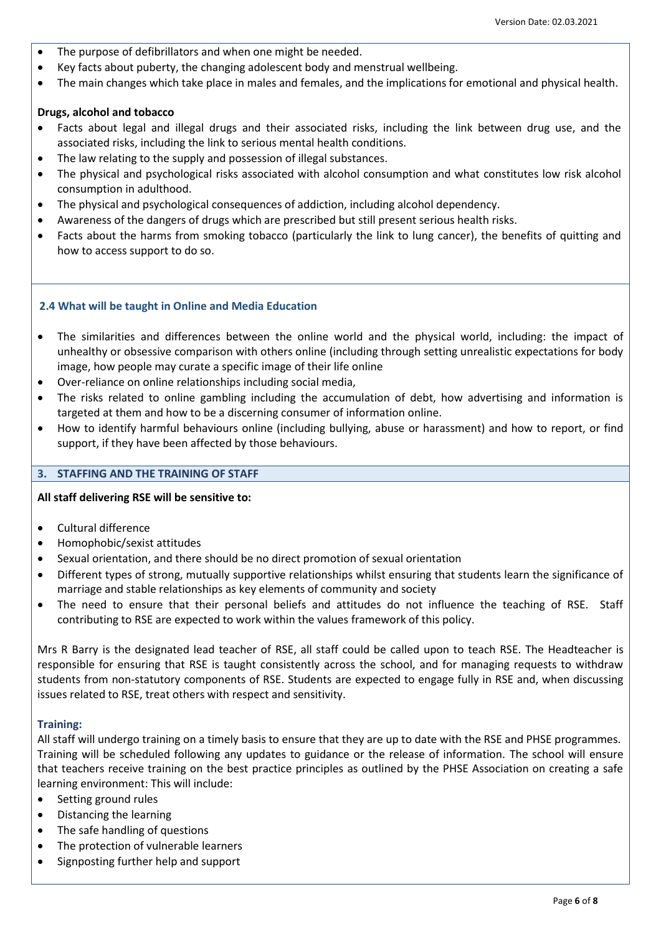- The purpose of defibrillators and when one might be needed.
- Key facts about puberty, the changing adolescent body and menstrual wellbeing.
- The main changes which take place in males and females, and the implications for emotional and physical health.

# **Drugs, alcohol and tobacco**

- Facts about legal and illegal drugs and their associated risks, including the link between drug use, and the associated risks, including the link to serious mental health conditions.
- The law relating to the supply and possession of illegal substances.
- The physical and psychological risks associated with alcohol consumption and what constitutes low risk alcohol consumption in adulthood.
- The physical and psychological consequences of addiction, including alcohol dependency.
- Awareness of the dangers of drugs which are prescribed but still present serious health risks.
- Facts about the harms from smoking tobacco (particularly the link to lung cancer), the benefits of quitting and how to access support to do so.

### **2.4 What will be taught in Online and Media Education**

- The similarities and differences between the online world and the physical world, including: the impact of unhealthy or obsessive comparison with others online (including through setting unrealistic expectations for body image, how people may curate a specific image of their life online
- Over-reliance on online relationships including social media,
- The risks related to online gambling including the accumulation of debt, how advertising and information is targeted at them and how to be a discerning consumer of information online.
- How to identify harmful behaviours online (including bullying, abuse or harassment) and how to report, or find support, if they have been affected by those behaviours.

# **3. STAFFING AND THE TRAINING OF STAFF**

#### **All staff delivering RSE will be sensitive to:**

- Cultural difference
- Homophobic/sexist attitudes
- Sexual orientation, and there should be no direct promotion of sexual orientation
- Different types of strong, mutually supportive relationships whilst ensuring that students learn the significance of marriage and stable relationships as key elements of community and society
- The need to ensure that their personal beliefs and attitudes do not influence the teaching of RSE. Staff contributing to RSE are expected to work within the values framework of this policy.

Mrs R Barry is the designated lead teacher of RSE, all staff could be called upon to teach RSE. The Headteacher is responsible for ensuring that RSE is taught consistently across the school, and for managing requests to withdraw students from non-statutory components of RSE. Students are expected to engage fully in RSE and, when discussing issues related to RSE, treat others with respect and sensitivity.

# **Training:**

All staff will undergo training on a timely basis to ensure that they are up to date with the RSE and PHSE programmes. Training will be scheduled following any updates to guidance or the release of information. The school will ensure that teachers receive training on the best practice principles as outlined by the PHSE Association on creating a safe learning environment: This will include:

- Setting ground rules
- Distancing the learning
- The safe handling of questions
- The protection of vulnerable learners
- Signposting further help and support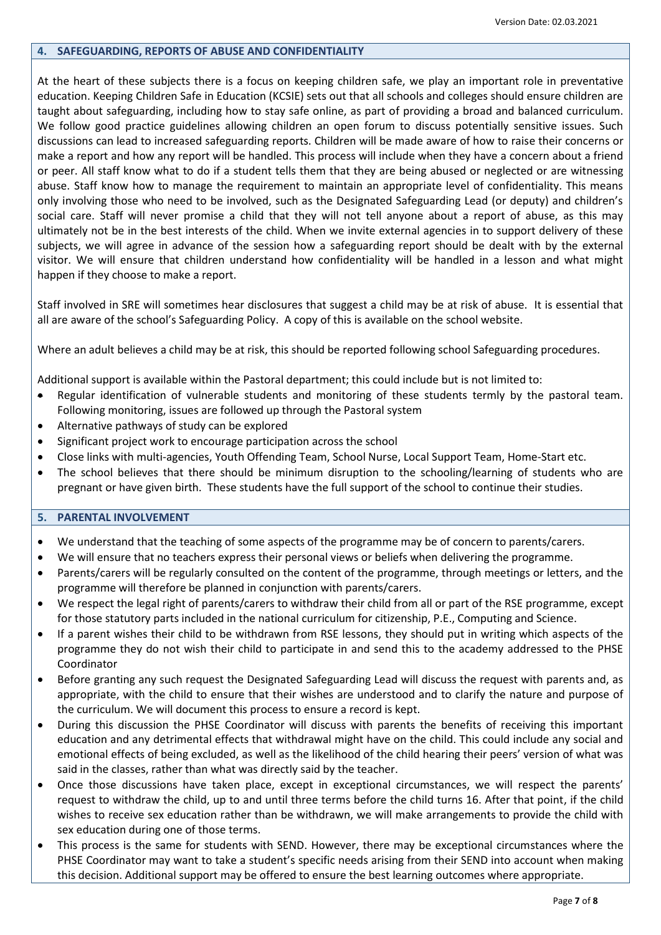### **4. SAFEGUARDING, REPORTS OF ABUSE AND CONFIDENTIALITY**

At the heart of these subjects there is a focus on keeping children safe, we play an important role in preventative education. Keeping Children Safe in Education (KCSIE) sets out that all schools and colleges should ensure children are taught about safeguarding, including how to stay safe online, as part of providing a broad and balanced curriculum. We follow good practice guidelines allowing children an open forum to discuss potentially sensitive issues. Such discussions can lead to increased safeguarding reports. Children will be made aware of how to raise their concerns or make a report and how any report will be handled. This process will include when they have a concern about a friend or peer. All staff know what to do if a student tells them that they are being abused or neglected or are witnessing abuse. Staff know how to manage the requirement to maintain an appropriate level of confidentiality. This means only involving those who need to be involved, such as the Designated Safeguarding Lead (or deputy) and children's social care. Staff will never promise a child that they will not tell anyone about a report of abuse, as this may ultimately not be in the best interests of the child. When we invite external agencies in to support delivery of these subjects, we will agree in advance of the session how a safeguarding report should be dealt with by the external visitor. We will ensure that children understand how confidentiality will be handled in a lesson and what might happen if they choose to make a report.

Staff involved in SRE will sometimes hear disclosures that suggest a child may be at risk of abuse. It is essential that all are aware of the school's Safeguarding Policy. A copy of this is available on the school website.

Where an adult believes a child may be at risk, this should be reported following school Safeguarding procedures.

Additional support is available within the Pastoral department; this could include but is not limited to:

- Regular identification of vulnerable students and monitoring of these students termly by the pastoral team. Following monitoring, issues are followed up through the Pastoral system
- Alternative pathways of study can be explored
- Significant project work to encourage participation across the school
- Close links with multi-agencies, Youth Offending Team, School Nurse, Local Support Team, Home-Start etc.
- The school believes that there should be minimum disruption to the schooling/learning of students who are pregnant or have given birth. These students have the full support of the school to continue their studies.

### **5. PARENTAL INVOLVEMENT**

- We understand that the teaching of some aspects of the programme may be of concern to parents/carers.
- We will ensure that no teachers express their personal views or beliefs when delivering the programme.
- Parents/carers will be regularly consulted on the content of the programme, through meetings or letters, and the programme will therefore be planned in conjunction with parents/carers.
- We respect the legal right of parents/carers to withdraw their child from all or part of the RSE programme, except for those statutory parts included in the national curriculum for citizenship, P.E., Computing and Science.
- If a parent wishes their child to be withdrawn from RSE lessons, they should put in writing which aspects of the programme they do not wish their child to participate in and send this to the academy addressed to the PHSE Coordinator
- Before granting any such request the Designated Safeguarding Lead will discuss the request with parents and, as appropriate, with the child to ensure that their wishes are understood and to clarify the nature and purpose of the curriculum. We will document this process to ensure a record is kept.
- During this discussion the PHSE Coordinator will discuss with parents the benefits of receiving this important education and any detrimental effects that withdrawal might have on the child. This could include any social and emotional effects of being excluded, as well as the likelihood of the child hearing their peers' version of what was said in the classes, rather than what was directly said by the teacher.
- Once those discussions have taken place, except in exceptional circumstances, we will respect the parents' request to withdraw the child, up to and until three terms before the child turns 16. After that point, if the child wishes to receive sex education rather than be withdrawn, we will make arrangements to provide the child with sex education during one of those terms.
- This process is the same for students with SEND. However, there may be exceptional circumstances where the PHSE Coordinator may want to take a student's specific needs arising from their SEND into account when making this decision. Additional support may be offered to ensure the best learning outcomes where appropriate.